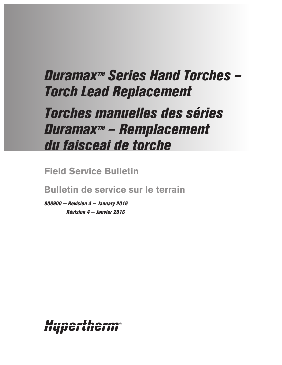# *Duramax™ Series Hand Torches – Torch Lead Replacement*

# *Torches manuelles des séries Duramax™ – Remplacement du faisceai de torche*

**Field Service Bulletin**

**Bulletin de service sur le terrain**

*806900 — Revision 4 — January 2016 Révision 4 — Janvier 2016*

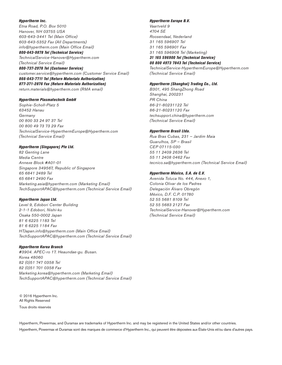#### *Hypertherm Inc.*

*Etna Road, P.O. Box 5010 Hanover, NH 03755 USA 603-643-3441 Tel (Main Office) 603-643-5352 Fax (All Departments) info@hypertherm.com (Main Office Email)*

*800-643-9878 Tel (Technical Service) TechnicalService-Hanover@Hypertherm.com (Technical Service Email)*

#### *800-737-2978 Tel (Customer Service)*

*customer.service@hypertherm.com (Customer Service Email) 866-643-7711 Tel (Return Materials Authorization) 877-371-2876 Fax (Return Materials Authorization) return.materials@hypertherm.com (RMA email)*

#### *Hypertherm Plasmatechnik GmbH*

*Sophie-Scholl-Platz 5 63452 Hanau Germany 00 800 33 24 97 37 Tel 00 800 49 73 73 29 Fax TechnicalService-HyperthermEurope@Hypertherm.com (Technical Service Email)*

### *Hypertherm (Singapore) Pte Ltd.*

*82 Genting Lane Media Centre Annexe Block #A01-01 Singapore 349567, Republic of Singapore 65 6841 2489 Tel 65 6841 2490 Fax Marketing.asia@hypertherm.com (Marketing Email) TechSupportAPAC@hypertherm.com (Technical Service Email)*

#### *Hypertherm Japan Ltd.*

*Level 9, Edobori Center Building 2-1-1 Edobori, Nishi-ku Osaka 550-0002 Japan 81 6 6225 1183 Tel 81 6 6225 1184 Fax HTJapan.info@hypertherm.com (Main Office Email) TechSupportAPAC@hypertherm.com (Technical Service Email)*

#### *Hypertherm Korea Branch*

*#3904. APEC-ro 17. Heaundae-gu. Busan. Korea 48060 82 (0)51 747 0358 Tel 82 (0)51 701 0358 Fax Marketing.korea@hypertherm.com (Marketing Email) TechSupportAPAC@hypertherm.com (Technical Service Email)*

© 2016 Hypertherm Inc. All Rights Reserved Tous droits réservés

#### *Hypertherm Europe B.V.*

*Vaartveld 9 4704 SE Roosendaal, Nederland 31 165 596907 Tel 31 165 596901 Fax 31 165 596908 Tel (Marketing) 31 165 596900 Tel (Technical Service) 00 800 4973 7843 Tel (Technical Service) TechnicalService-HyperthermEurope@Hypertherm.com* 

#### *Hypertherm (Shanghai) Trading Co., Ltd.*

*(Technical Service Email)*

*B301, 495 ShangZhong Road Shanghai, 200231 PR China 86-21-80231122 Tel 86-21-80231120 Fax techsupport.china@hypertherm.com (Technical Service Email)*

#### *Hypertherm Brasil Ltda.*

*Rua Bras Cubas, 231 – Jardim Maia Guarulhos, SP – Brasil CEP 07115-030 55 11 2409 2636 Tel 55 11 2408 0462 Fax tecnico.sa@hypertherm.com (Technical Service Email)*

#### *Hypertherm México, S.A. de C.V.*

*Avenida Toluca No. 444, Anexo 1, Colonia Olivar de los Padres Delegación Álvaro Obregón México, D.F. C.P. 01780 52 55 5681 8109 Tel 52 55 5683 2127 Fax TechnicalService-Hanover@Hypertherm.com (Technical Service Email)*

Hypertherm, Powermax, and Duramax are trademarks of Hypertherm Inc. and may be registered in the United States and/or other countries. Hypertherm, Powermax et Duramax sont des marques de commerce d'Hypertherm Inc., qui peuvent être déposées aux États-Unis et/ou dans d'autres pays.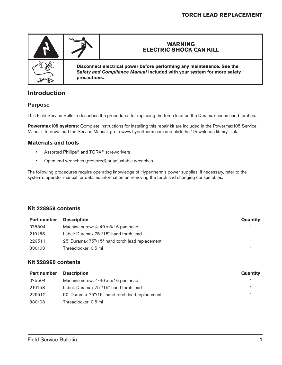

# **Introduction**

# **Purpose**

This Field Service Bulletin describes the procedures for replacing the torch lead on the Duramax series hand torches.

**Powermax105 systems**: Complete instructions for installing this repair kit are included in the Powermax105 Service Manual. To download the Service Manual, go to www.hypertherm.com and click the "Downloads library" link.

## **Materials and tools**

- Assorted Phillips<sup>®</sup> and TORX<sup>®</sup> screwdrivers
- Open end wrenches (preferred) or adjustable wrenches

The following procedures require operating knowledge of Hypertherm's power supplies. If necessary, refer to the system's operator manual for detailed information on removing the torch and changing consumables.

## **Kit 228959 contents**

| <b>Part number</b> | <b>Description</b>                              | Quantity |
|--------------------|-------------------------------------------------|----------|
| 075504             | Machine screw: 4-40 x 5/16 pan head             |          |
| 210158             | Label: Duramax 75°/15° hand torch lead          |          |
| 229511             | 25' Duramax 75°/15° hand torch lead replacement |          |
| 330103             | Threadlocker, 0.5 ml                            |          |

## **Kit 228960 contents**

| Part number | <b>Description</b>                              | Quantity |
|-------------|-------------------------------------------------|----------|
| 075504      | Machine screw: 4-40 x 5/16 pan head             |          |
| 210158      | Label: Duramax 75°/15° hand torch lead          |          |
| 229512      | 50' Duramax 75°/15° hand torch lead replacement |          |
| 330103      | Threadlocker, 0.5 ml                            |          |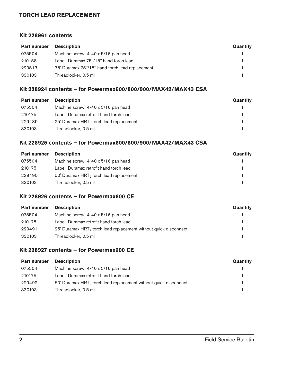# **TORCH LEAD REPLACEMENT**

### **Kit 228961 contents**

| <b>Part number</b> | <b>Description</b>                              | Quantity |
|--------------------|-------------------------------------------------|----------|
| 075504             | Machine screw: 4-40 x 5/16 pan head             |          |
| 210158             | Label: Duramax 75°/15° hand torch lead          |          |
| 229513             | 75' Duramax 75°/15° hand torch lead replacement |          |
| 330103             | Threadlocker, 0.5 ml                            |          |

## **Kit 228924 contents – for Powermax600/800/900/MAX42/MAX43 CSA**

| <b>Part number</b> | <b>Description</b>                         | Quantity |
|--------------------|--------------------------------------------|----------|
| 075504             | Machine screw: 4-40 x 5/16 pan head        |          |
| 210175             | Label: Duramax retrofit hand torch lead    |          |
| 229489             | 25' Duramax $HRT_2$ torch lead replacement |          |
| 330103             | Threadlocker, 0.5 ml                       |          |

# **Kit 228925 contents – for Powermax600/800/900/MAX42/MAX43 CSA**

| <b>Part number</b> | <b>Description</b>                                  | Quantity |
|--------------------|-----------------------------------------------------|----------|
| 075504             | Machine screw: 4-40 x 5/16 pan head                 |          |
| 210175             | Label: Duramax retrofit hand torch lead             |          |
| 229490             | 50' Duramax HRT <sub>2</sub> torch lead replacement |          |
| 330103             | Threadlocker, 0.5 ml                                |          |

# **Kit 228926 contents – for Powermax600 CE**

| <b>Part number</b> | <b>Description</b>                                                  | Quantity |
|--------------------|---------------------------------------------------------------------|----------|
| 075504             | Machine screw: 4-40 x 5/16 pan head                                 |          |
| 210175             | Label: Duramax retrofit hand torch lead                             |          |
| 229491             | 25' Duramax $HRT_2$ torch lead replacement without quick disconnect |          |
| 330103             | Threadlocker, 0.5 ml                                                |          |

# **Kit 228927 contents – for Powermax600 CE**

| <b>Part number</b> | <b>Description</b>                                                           | Quantity |
|--------------------|------------------------------------------------------------------------------|----------|
| 075504             | Machine screw: 4-40 x 5/16 pan head                                          |          |
| 210175             | Label: Duramax retrofit hand torch lead                                      |          |
| 229492             | 50' Duramax HRT <sub>2</sub> torch lead replacement without quick disconnect |          |
| 330103             | Threadlocker, 0.5 ml                                                         |          |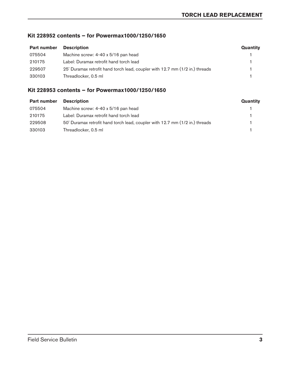# **Kit 228952 contents – for Powermax1000/1250/1650**

| <b>Part number</b> | <b>Description</b>                                                           | Quantity |
|--------------------|------------------------------------------------------------------------------|----------|
| 075504             | Machine screw: 4-40 x 5/16 pan head                                          |          |
| 210175             | Label: Duramax retrofit hand torch lead                                      |          |
| 229507             | 25' Duramax retrofit hand torch lead, coupler with 12.7 mm (1/2 in.) threads |          |
| 330103             | Threadlocker, 0.5 ml                                                         |          |

# **Kit 228953 contents – for Powermax1000/1250/1650**

| Part number | <b>Description</b>                                                           | Quantity |
|-------------|------------------------------------------------------------------------------|----------|
| 075504      | Machine screw: 4-40 x 5/16 pan head                                          |          |
| 210175      | Label: Duramax retrofit hand torch lead                                      |          |
| 229508      | 50' Duramax retrofit hand torch lead, coupler with 12.7 mm (1/2 in.) threads |          |
| 330103      | Threadlocker, 0.5 ml                                                         |          |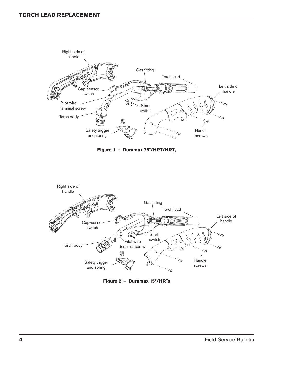





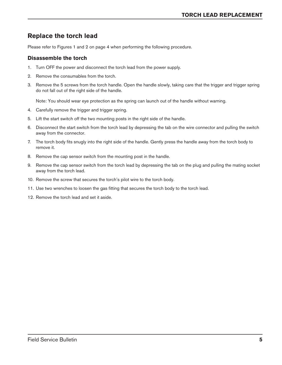# **Replace the torch lead**

Please refer to Figures 1 and 2 on page 4 when performing the following procedure.

## **Disassemble the torch**

- 1. Turn OFF the power and disconnect the torch lead from the power supply.
- 2. Remove the consumables from the torch.
- 3. Remove the 5 screws from the torch handle. Open the handle slowly, taking care that the trigger and trigger spring do not fall out of the right side of the handle.

Note: You should wear eye protection as the spring can launch out of the handle without warning.

- 4. Carefully remove the trigger and trigger spring.
- 5. Lift the start switch off the two mounting posts in the right side of the handle.
- 6. Disconnect the start switch from the torch lead by depressing the tab on the wire connector and pulling the switch away from the connector.
- 7. The torch body fits snugly into the right side of the handle. Gently press the handle away from the torch body to remove it.
- 8. Remove the cap sensor switch from the mounting post in the handle.
- 9. Remove the cap sensor switch from the torch lead by depressing the tab on the plug and pulling the mating socket away from the torch lead.
- 10. Remove the screw that secures the torch's pilot wire to the torch body.
- 11. Use two wrenches to loosen the gas fitting that secures the torch body to the torch lead.
- 12. Remove the torch lead and set it aside.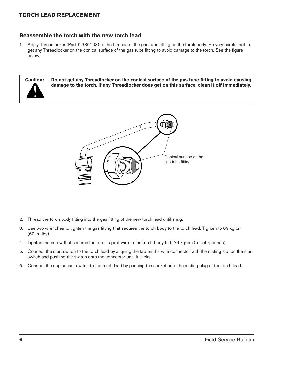# **Reassemble the torch with the new torch lead**

1. Apply Threadlocker (Part # 330103) to the threads of the gas tube fitting on the torch body. Be very careful not to get any Threadlocker on the conical surface of the gas tube fitting to avoid damage to the torch. See the figure below.



Conical surface of the gas tube fitting

- 2. Thread the torch body fitting into the gas fitting of the new torch lead until snug.
- 3. Use two wrenches to tighten the gas fitting that secures the torch body to the torch lead. Tighten to 69 kg cm, (60 in.-lbs).
- 4. Tighten the screw that secures the torch's pilot wire to the torch body to 5.76 kg-cm (5 inch-pounds).
- 5. Connect the start switch to the torch lead by aligning the tab on the wire connector with the mating slot on the start switch and pushing the switch onto the connector until it clicks.
- 6. Connect the cap sensor switch to the torch lead by pushing the socket onto the mating plug of the torch lead.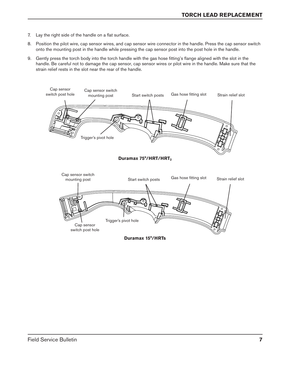- 7. Lay the right side of the handle on a flat surface.
- 8. Position the pilot wire, cap sensor wires, and cap sensor wire connector in the handle. Press the cap sensor switch onto the mounting post in the handle while pressing the cap sensor post into the post hole in the handle.
- 9. Gently press the torch body into the torch handle with the gas hose fitting's flange aligned with the slot in the handle. Be careful not to damage the cap sensor, cap sensor wires or pilot wire in the handle. Make sure that the strain relief rests in the slot near the rear of the handle.

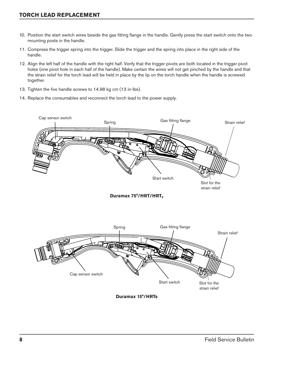# **TORCH LEAD REPLACEMENT**

- 10. Position the start switch wires beside the gas fitting flange in the handle. Gently press the start switch onto the two mounting posts in the handle.
- 11. Compress the trigger spring into the trigger. Slide the trigger and the spring into place in the right side of the handle.
- 12. Align the left half of the handle with the right half. Verify that the trigger pivots are both located in the trigger pivot holes (one pivot hole in each half of the handle). Make certain the wires will not get pinched by the handle and that the strain relief for the torch lead will be held in place by the lip on the torch handle when the handle is screwed together.
- 13. Tighten the five handle screws to 14.98 kg cm (13 in-lbs).
- 14. Replace the consumables and reconnect the torch lead to the power supply.



strain relief

**Duramax 75°/HRT/HRT2**



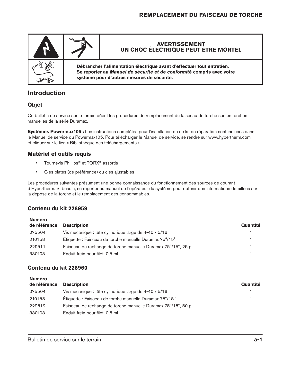

# **Introduction**

# **Objet**

Ce bulletin de service sur le terrain décrit les procédures de remplacement du faisceau de torche sur les torches manuelles de la série Duramax.

**Systèmes Powermax105 :** Les instructions complètes pour l'installation de ce kit de réparation sont incluses dans le Manuel de service du Powermax105. Pour télécharger le Manuel de service, se rendre sur www.hypertherm.com et cliquer sur le lien « Bibliothèque des téléchargements ».

# **Matériel et outils requis**

- Tournevis Phillips® et TORX® assortis
- Clés plates (de préférence) ou clés ajustables

Les procédures suivantes présument une bonne connaissance du fonctionnement des sources de courant d'Hypertherm. Si besoin, se reporter au manuel de l'opérateur du système pour obtenir des informations détaillées sur la dépose de la torche et le remplacement des consommables.

# **Contenu du kit 228959**

|                                                                | Quantité           |
|----------------------------------------------------------------|--------------------|
| Vis mécanique : tête cylindrique large de 4-40 x 5/16          |                    |
| Étiquette : Faisceau de torche manuelle Duramax 75°/15°        |                    |
| Faisceau de rechange de torche manuelle Duramax 75°/15°, 25 pi |                    |
| Enduit frein pour filet, 0,5 ml                                |                    |
|                                                                | <b>Description</b> |

# **Contenu du kit 228960**

| <b>Numéro</b><br>de référence | <b>Description</b>                                             | Quantité |
|-------------------------------|----------------------------------------------------------------|----------|
| 075504                        | Vis mécanique : tête cylindrique large de 4-40 x 5/16          |          |
| 210158                        | Étiquette : Faisceau de torche manuelle Duramax 75°/15°        |          |
| 229512                        | Faisceau de rechange de torche manuelle Duramax 75°/15°, 50 pi |          |
| 330103                        | Enduit frein pour filet, 0,5 ml                                |          |
|                               |                                                                |          |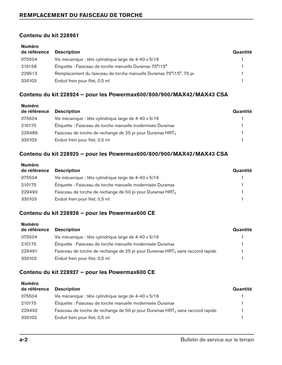## **Contenu du kit 228961**

| <b>Numéro</b><br>de référence | <b>Description</b>                                                 | Quantité |
|-------------------------------|--------------------------------------------------------------------|----------|
|                               |                                                                    |          |
| 075504                        | Vis mécanique : tête cylindrique large de 4-40 x 5/16              |          |
| 210158                        | Etiquette : Faisceau de torche manuelle Duramax 75°/15°            |          |
| 229513                        | Remplacement du faisceau de torche manuelle Duramax 75°/15°, 75 pi |          |
| 330103                        | Enduit frein pour filet, 0,5 ml                                    |          |

# **Contenu du kit 228924 – pour les Powermax600/800/900/MAX42/MAX43 CSA**

| <b>Description</b>                                                    | Quantité |
|-----------------------------------------------------------------------|----------|
| Vis mécanique : tête cylindrique large de 4-40 x 5/16                 |          |
| Etiquette : Faisceau de torche manuelle modernisée Duramax            |          |
| Faisceau de torche de rechange de 25 pi pour Duramax HRT <sub>2</sub> |          |
| Enduit frein pour filet, 0,5 ml                                       |          |
|                                                                       |          |

## **Contenu du kit 228925 – pour les Powermax600/800/900/MAX42/MAX43 CSA**

| Quantité |
|----------|
|          |
|          |
|          |
|          |
|          |

# **Contenu du kit 228926 – pour les Powermax600 CE**

| <b>Description</b>                                                                        | Quantité |
|-------------------------------------------------------------------------------------------|----------|
| Vis mécanique : tête cylindrique large de 4-40 x 5/16                                     |          |
| Etiquette : Faisceau de torche manuelle modernisée Duramax                                |          |
| Faisceau de torche de rechange de 25 pi pour Duramax HRT <sub>2</sub> sans raccord rapide |          |
| Enduit frein pour filet, 0,5 ml                                                           |          |
|                                                                                           |          |

# **Contenu du kit 228927 – pour les Powermax600 CE**

| de référence | <b>Description</b>                                                                        | Quantité |
|--------------|-------------------------------------------------------------------------------------------|----------|
| 075504       | Vis mécanique : tête cylindrique large de 4-40 x 5/16                                     |          |
| 210175       | Étiquette : Faisceau de torche manuelle modernisée Duramax                                |          |
| 229492       | Faisceau de torche de rechange de 50 pi pour Duramax HRT <sub>2</sub> sans raccord rapide |          |
| 330103       | Enduit frein pour filet, 0,5 ml                                                           |          |
|              |                                                                                           |          |

**Numéro**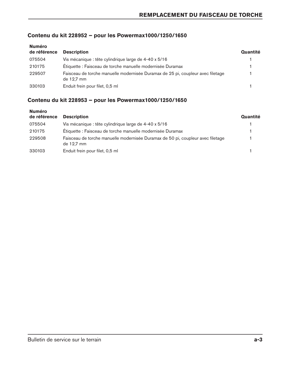# **Contenu du kit 228952 – pour les Powermax1000/1250/1650**

| <b>Numéro</b><br>de référence | <b>Description</b>                                                                            | Quantité |
|-------------------------------|-----------------------------------------------------------------------------------------------|----------|
| 075504                        | Vis mécanique : tête cylindrique large de 4-40 x 5/16                                         |          |
| 210175                        | Étiquette : Faisceau de torche manuelle modernisée Duramax                                    |          |
| 229507                        | Faisceau de torche manuelle modernisée Duramax de 25 pi, coupleur avec filetage<br>de 12,7 mm |          |
| 330103                        | Enduit frein pour filet, 0,5 ml                                                               |          |

# **Contenu du kit 228953 – pour les Powermax1000/1250/1650**

| <b>Numéro</b><br>de référence | <b>Description</b>                                                                            | Quantité |
|-------------------------------|-----------------------------------------------------------------------------------------------|----------|
| 075504                        | Vis mécanique : tête cylindrique large de 4-40 x 5/16                                         |          |
| 210175                        | Étiquette : Faisceau de torche manuelle modernisée Duramax                                    |          |
| 229508                        | Faisceau de torche manuelle modernisée Duramax de 50 pi, coupleur avec filetage<br>de 12,7 mm |          |
| 330103                        | Enduit frein pour filet, 0,5 ml                                                               |          |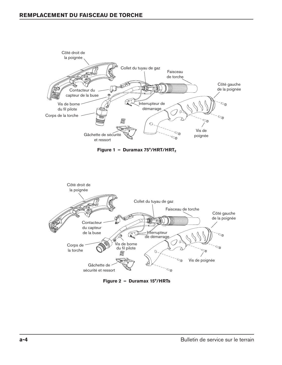





**Figure 2 – Duramax 15°/HRTs**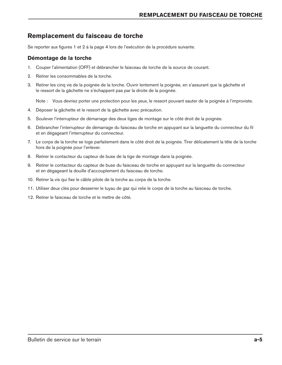# **Remplacement du faisceau de torche**

Se reporter aux figures 1 et 2 à la page 4 lors de l'exécution de la procédure suivante.

# **Démontage de la torche**

- 1. Couper l'alimentation (OFF) et débrancher le faisceau de torche de la source de courant.
- 2. Retirer les consommables de la torche.
- 3. Retirer les cinq vis de la poignée de la torche. Ouvrir lentement la poignée, en s'assurant que la gâchette et le ressort de la gâchette ne s'échappent pas par la droite de la poignée.

Note : Vous devriez porter une protection pour les yeux, le ressort pouvant sauter de la poignée à l'improviste.

- 4. Déposer la gâchette et le ressort de la gâchette avec précaution.
- 5. Soulever l'interrupteur de démarrage des deux tiges de montage sur le côté droit de la poignée.
- 6. Débrancher l'interrupteur de démarrage du faisceau de torche en appuyant sur la languette du connecteur du fil et en dégageant l'interrupteur du connecteur.
- 7. Le corps de la torche se loge parfaitement dans le côté droit de la poignée. Tirer délicatement la tête de la torche hors de la poignée pour l'enlever.
- 8. Retirer le contacteur du capteur de buse de la tige de montage dans la poignée.
- 9. Retirer le contacteur du capteur de buse du faisceau de torche en appuyant sur la languette du connecteur et en dégageant la douille d'accouplement du faisceau de torche.
- 10. Retirer la vis qui fixe le câble pilote de la torche au corps de la torche.
- 11. Utiliser deux clés pour desserrer le tuyau de gaz qui relie le corps de la torche au faisceau de torche.
- 12. Retirer le faisceau de torche et le mettre de côté.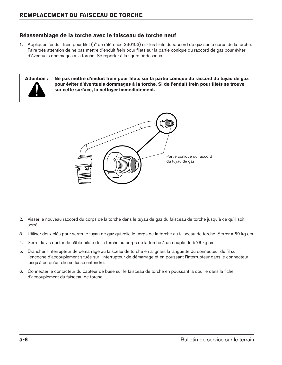# **Réassemblage de la torche avec le faisceau de torche neuf**

1. Appliquer l'enduit frein pour filet (n° de référence 330103) sur les filets du raccord de gaz sur le corps de la torche. Faire très attention de ne pas mettre d'enduit frein pour filets sur la partie conique du raccord de gaz pour éviter d'éventuels dommages à la torche. Se reporter à la figure ci-dessous.



**Attention : Ne pas mettre d'enduit frein pour filets sur la partie conique du raccord du tuyau de gaz pour éviter d'éventuels dommages à la torche. Si de l'enduit frein pour filets se trouve sur cette surface, la nettoyer immédiatement.** 



- 2. Visser le nouveau raccord du corps de la torche dans le tuyau de gaz du faisceau de torche jusqu'à ce qu'il soit serré.
- 3. Utiliser deux clés pour serrer le tuyau de gaz qui relie le corps de la torche au faisceau de torche. Serrer à 69 kg cm.
- 4. Serrer la vis qui fixe le câble pilote de la torche au corps de la torche à un couple de 5,76 kg cm.
- 5. Brancher l'interrupteur de démarrage au faisceau de torche en alignant la languette du connecteur du fil sur l'encoche d'accouplement située sur l'interrupteur de démarrage et en poussant l'interrupteur dans le connecteur jusqu'à ce qu'un clic se fasse entendre.
- 6. Connecter le contacteur du capteur de buse sur le faisceau de torche en poussant la douille dans la fiche d'accouplement du faisceau de torche.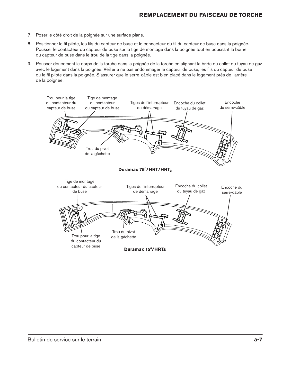- 7. Poser le côté droit de la poignée sur une surface plane.
- 8. Positionner le fil pilote, les fils du capteur de buse et le connecteur du fil du capteur de buse dans la poignée. Pousser le contacteur du capteur de buse sur la tige de montage dans la poignée tout en poussant la borne du capteur de buse dans le trou de la tige dans la poignée.
- 9. Pousser doucement le corps de la torche dans la poignée de la torche en alignant la bride du collet du tuyau de gaz avec le logement dans la poignée. Veiller à ne pas endommager le capteur de buse, les fils du capteur de buse ou le fil pilote dans la poignée. S'assurer que le serre-câble est bien placé dans le logement près de l'arrière de la poignée.

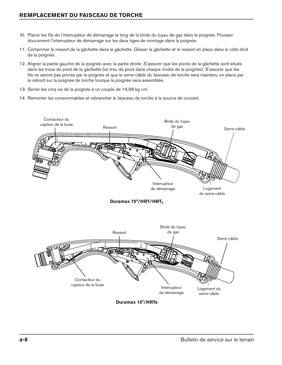- 10. Placer les fils de l'interrupteur de démarrage le long de la bride du tuyau de gaz dans la poignée. Pousser doucement l'interrupteur de démarrage sur les deux tiges de montage dans la poignée.
- 11. Comprimer le ressort de la gâchette dans la gâchette. Glisser la gâchette et le ressort en place dans le côté droit de la poignée.
- 12. Aligner la partie gauche de la poignée avec la partie droite. S'assurer que les pivots de la gâchette sont situés dans les trous de pivot de la gâchette (un trou de pivot dans chaque moitié de la poignée). S'assurer que les fils ne seront pas pincés par la poignée et que le serre-câble du faisceau de torche sera maintenu en place par le rebord sur la poignée de torche lorsque la poignée sera assemblée.
- 13. Serrer les cinq vis de la poignée à un couple de 14,98 kg cm.
- 14. Remonter les consommables et rebrancher le faisceau de torche à la source de courant.